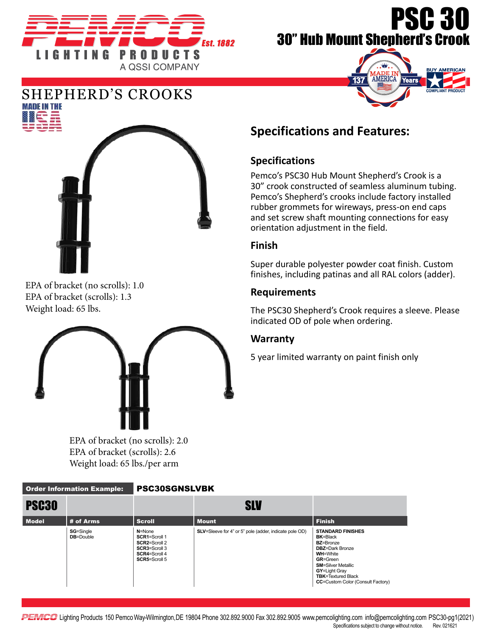

# PSC 30 30" Hub Mount Shepherd's Crook





EPA of bracket (no scrolls): 1.0 EPA of bracket (scrolls): 1.3 Weight load: 65 lbs.



EPA of bracket (no scrolls): 2.0 EPA of bracket (scrolls): 2.6 Weight load: 65 lbs./per arm

# **Specifications and Features:**

## **Specifications**

Pemco's PSC30 Hub Mount Shepherd's Crook is a 30" crook constructed of seamless aluminum tubing. Pemco's Shepherd's crooks include factory installed rubber grommets for wireways, press-on end caps and set screw shaft mounting connections for easy orientation adjustment in the field.

#### **Finish**

Super durable polyester powder coat finish. Custom finishes, including patinas and all RAL colors (adder).

#### **Requirements**

The PSC30 Shepherd's Crook requires a sleeve. Please indicated OD of pole when ordering.

### **Warranty**

5 year limited warranty on paint finish only

| <b>Order Information Example:</b> |                                       | <b>PSC30SGNSLVBK</b>                                                                                          |                                                                |                                                                                                                                                                                                                                                         |
|-----------------------------------|---------------------------------------|---------------------------------------------------------------------------------------------------------------|----------------------------------------------------------------|---------------------------------------------------------------------------------------------------------------------------------------------------------------------------------------------------------------------------------------------------------|
| PSC <sub>30</sub>                 |                                       |                                                                                                               | <b>SLV</b>                                                     |                                                                                                                                                                                                                                                         |
| <b>Model</b>                      | # of Arms                             | <b>Scroll</b>                                                                                                 | <b>Mount</b>                                                   | <b>Finish</b>                                                                                                                                                                                                                                           |
|                                   | <b>SG=Single</b><br><b>DB</b> =Double | $N = None$<br>SCR1=Scroll 1<br>SCR2=Scroll 2<br><b>SCR3=Scroll 3</b><br><b>SCR4=Scroll 4</b><br>SCR5=Scroll 5 | <b>SLV</b> =Sleeve for 4" or 5" pole (adder, indicate pole OD) | <b>STANDARD FINISHES</b><br><b>BK=Black</b><br><b>BZ=Bronze</b><br><b>DBZ</b> =Dark Bronze<br><b>WH=White</b><br><b>GR=Green</b><br><b>SM=Silver Metallic</b><br>GY=Light Gray<br><b>TBK=Textured Black</b><br><b>CC=Custom Color (Consult Factory)</b> |